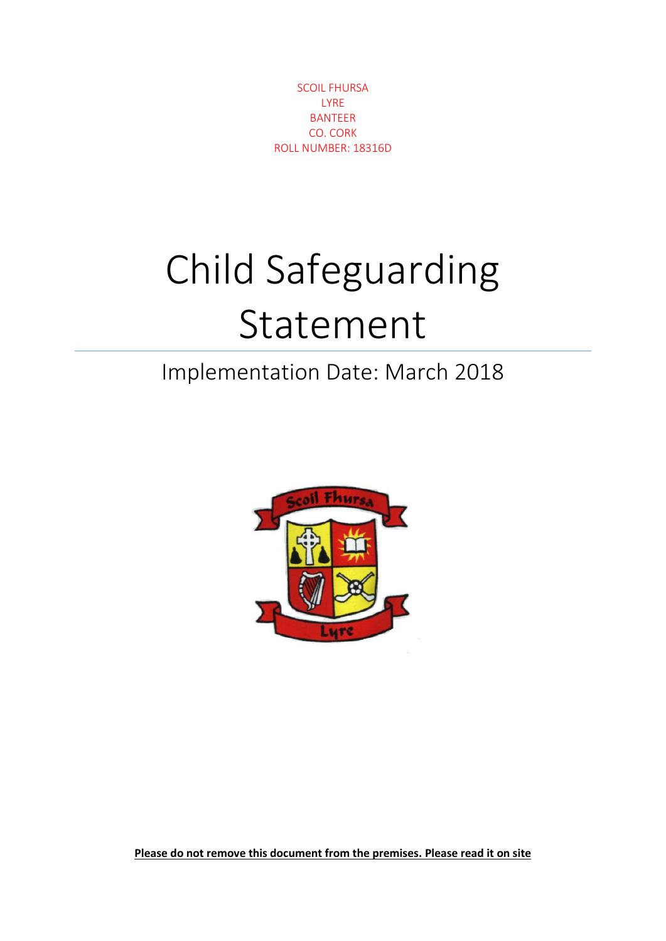SCOIL FHURSA LYRE BANTEER CO. CORK ROLL NUMBER: 18316D

## Child Safeguarding Statement

## Implementation Date: March 2018



**Please do not remove this document from the premises. Please read it on site**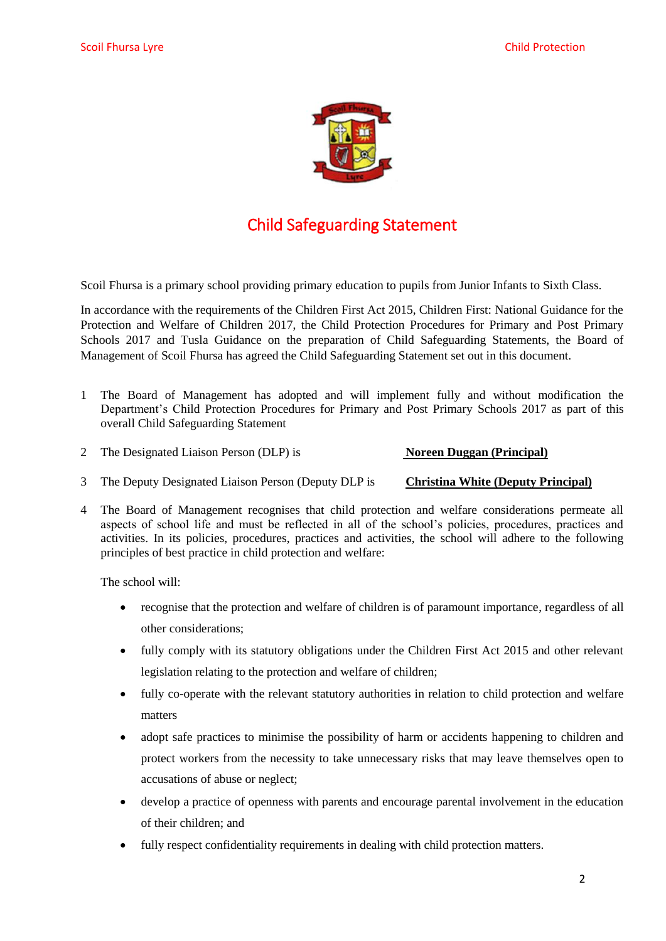

## Child Safeguarding Statement

Scoil Fhursa is a primary school providing primary education to pupils from Junior Infants to Sixth Class.

In accordance with the requirements of the Children First Act 2015, Children First: National Guidance for the Protection and Welfare of Children 2017, the Child Protection Procedures for Primary and Post Primary Schools 2017 and Tusla Guidance on the preparation of Child Safeguarding Statements, the Board of Management of Scoil Fhursa has agreed the Child Safeguarding Statement set out in this document.

- 1 The Board of Management has adopted and will implement fully and without modification the Department's Child Protection Procedures for Primary and Post Primary Schools 2017 as part of this overall Child Safeguarding Statement
- 2 The Designated Liaison Person (DLP) is **Noreen Duggan (Principal)**

- 3 The Deputy Designated Liaison Person (Deputy DLP is **Christina White (Deputy Principal)**
- 4 The Board of Management recognises that child protection and welfare considerations permeate all aspects of school life and must be reflected in all of the school's policies, procedures, practices and activities. In its policies, procedures, practices and activities, the school will adhere to the following principles of best practice in child protection and welfare:

The school will:

- recognise that the protection and welfare of children is of paramount importance, regardless of all other considerations;
- fully comply with its statutory obligations under the Children First Act 2015 and other relevant legislation relating to the protection and welfare of children;
- fully co-operate with the relevant statutory authorities in relation to child protection and welfare matters
- adopt safe practices to minimise the possibility of harm or accidents happening to children and protect workers from the necessity to take unnecessary risks that may leave themselves open to accusations of abuse or neglect;
- develop a practice of openness with parents and encourage parental involvement in the education of their children; and
- fully respect confidentiality requirements in dealing with child protection matters.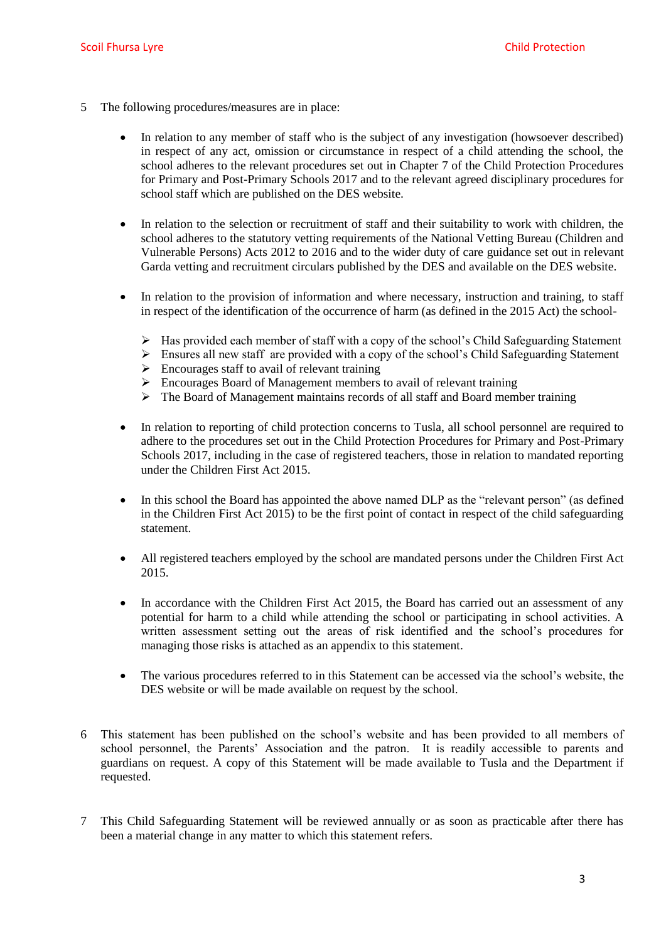- 5 The following procedures/measures are in place:
	- In relation to any member of staff who is the subject of any investigation (howsoever described) in respect of any act, omission or circumstance in respect of a child attending the school, the school adheres to the relevant procedures set out in Chapter 7 of the Child Protection Procedures for Primary and Post-Primary Schools 2017 and to the relevant agreed disciplinary procedures for school staff which are published on the DES website.
	- In relation to the selection or recruitment of staff and their suitability to work with children, the school adheres to the statutory vetting requirements of the National Vetting Bureau (Children and Vulnerable Persons) Acts 2012 to 2016 and to the wider duty of care guidance set out in relevant Garda vetting and recruitment circulars published by the DES and available on the DES website.
	- In relation to the provision of information and where necessary, instruction and training, to staff in respect of the identification of the occurrence of harm (as defined in the 2015 Act) the school-
		- Has provided each member of staff with a copy of the school's Child Safeguarding Statement
		- $\triangleright$  Ensures all new staff are provided with a copy of the school's Child Safeguarding Statement
		- $\triangleright$  Encourages staff to avail of relevant training
		- Encourages Board of Management members to avail of relevant training
		- The Board of Management maintains records of all staff and Board member training
	- In relation to reporting of child protection concerns to Tusla, all school personnel are required to adhere to the procedures set out in the Child Protection Procedures for Primary and Post-Primary Schools 2017, including in the case of registered teachers, those in relation to mandated reporting under the Children First Act 2015.
	- In this school the Board has appointed the above named DLP as the "relevant person" (as defined in the Children First Act 2015) to be the first point of contact in respect of the child safeguarding statement.
	- All registered teachers employed by the school are mandated persons under the Children First Act 2015.
	- In accordance with the Children First Act 2015, the Board has carried out an assessment of any potential for harm to a child while attending the school or participating in school activities. A written assessment setting out the areas of risk identified and the school's procedures for managing those risks is attached as an appendix to this statement.
	- The various procedures referred to in this Statement can be accessed via the school's website, the DES website or will be made available on request by the school.
- 6 This statement has been published on the school's website and has been provided to all members of school personnel, the Parents' Association and the patron. It is readily accessible to parents and guardians on request. A copy of this Statement will be made available to Tusla and the Department if requested.
- 7 This Child Safeguarding Statement will be reviewed annually or as soon as practicable after there has been a material change in any matter to which this statement refers.